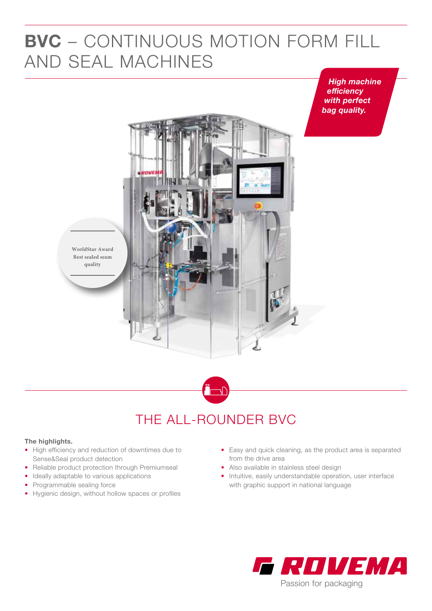## **BVC** – CONTINUOUS MOTION FORM FILL AND SEAL MACHINES

*High machine efficiency with perfect bag quality.*





### THE ALL-ROUNDER BVC

### **The highlights.**

- High efficiency and reduction of downtimes due to Sense&Seal product detection
- Reliable product protection through Premiumseal
- Ideally adaptable to various applications
- Programmable sealing force
- Hygienic design, without hollow spaces or profiles
- Easy and quick cleaning, as the product area is separated from the drive area
- Also available in stainless steel design
- Intuitive, easily understandable operation, user interface with graphic support in national language

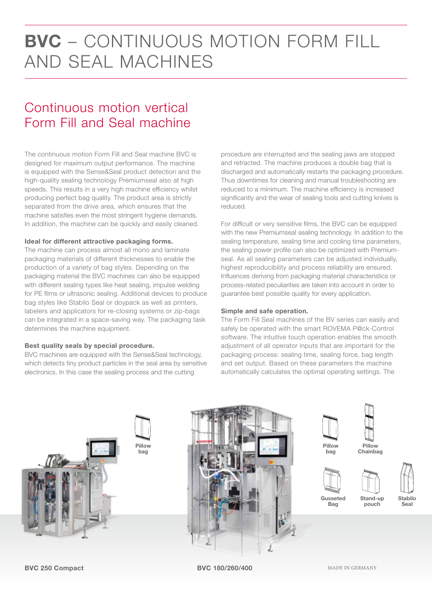## **BVC** – CONTINUOUS MOTION FORM FILL AND SEAL MACHINES

### Continuous motion vertical Form Fill and Seal machine

The continuous motion Form Fill and Seal machine BVC is designed for maximum output performance. The machine is equipped with the Sense&Seal product detection and the high-quality sealing technology Premiumseal also at high speeds. This results in a very high machine efficiency whilst producing perfect bag quality. The product area is strictly separated from the drive area, which ensures that the machine satisfies even the most stringent hygiene demands. In addition, the machine can be quickly and easily cleaned.

#### **Ideal for different attractive packaging forms.**

The machine can process almost all mono and laminate packaging materials of different thicknesses to enable the production of a variety of bag styles. Depending on the packaging material the BVC machines can also be equipped with different sealing types like heat sealing, impulse welding for PE films or ultrasonic sealing. Additional devices to produce bag styles like Stabilo Seal or doypack as well as printers, labelers and applicators for re-closing systems or zip-bags can be integrated in a space-saving way. The packaging task determines the machine equipment.

#### **Best quality seals by special procedure.**

BVC machines are equipped with the Sense&Seal technology, which detects tiny product particles in the seal area by sensitive electronics. In this case the sealing process and the cutting

procedure are interrupted and the sealing jaws are stopped and retracted. The machine produces a double bag that is discharged and automatically restarts the packaging procedure. Thus downtimes for cleaning and manual troubleshooting are reduced to a minimum. The machine efficiency is increased significantly and the wear of sealing tools and cutting knives is reduced.

For difficult or very sensitive films, the BVC can be equipped with the new Premiumseal sealing technology. In addition to the sealing temperature, sealing time and cooling time parameters, the sealing power profile can also be optimized with Premiumseal. As all sealing parameters can be adjusted individually, highest reproducibility and process reliability are ensured. Influences deriving from packaging material characteristics or process-related peculiarities are taken into account in order to guarantee best possible quality for every application.

#### **Simple and safe operation.**

The Form Fill Seal machines of the BV series can easily and safely be operated with the smart ROVEMA P@ck-Control software. The intuitive touch operation enables the smooth adjustment of all operator inputs that are important for the packaging process: sealing time, sealing force, bag length and set output. Based on these parameters the machine automatically calculates the optimal operating settings. The









**Pillow bag**

**Bag**

**Pillow Chainbag**

**pouch**



**Stabilo Seal**

**BVC 250 Compact**

**BVC 180/260/400**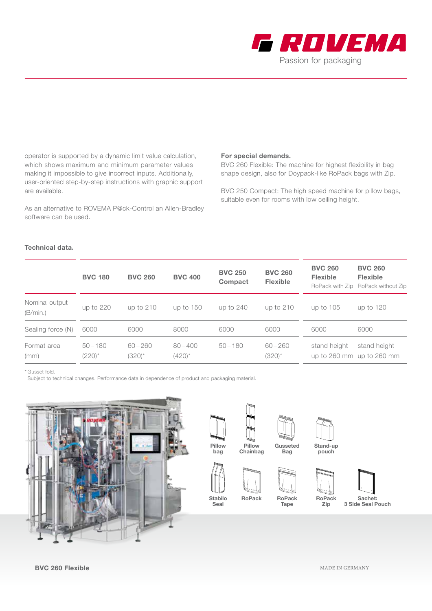

operator is supported by a dynamic limit value calculation, which shows maximum and minimum parameter values making it impossible to give incorrect inputs. Additionally, user-oriented step-by-step instructions with graphic support are available.

As an alternative to ROVEMA P@ck-Control an Allen-Bradley software can be used.

#### **For special demands.**

BVC 260 Flexible: The machine for highest flexibility in bag shape design, also for Doypack-like RoPack bags with Zip.

BVC 250 Compact: The high speed machine for pillow bags, suitable even for rooms with low ceiling height.

### **Technical data.**

|                            | <b>BVC 180</b>            | <b>BVC 260</b>            | <b>BVC 400</b>            | <b>BVC 250</b><br>Compact | <b>BVC 260</b><br><b>Flexible</b> | <b>BVC 260</b><br><b>Flexible</b> | <b>BVC 260</b><br><b>Flexible</b><br>RoPack with Zip RoPack without Zip |
|----------------------------|---------------------------|---------------------------|---------------------------|---------------------------|-----------------------------------|-----------------------------------|-------------------------------------------------------------------------|
| Nominal output<br>(B/min.) | up to 220                 | up to 210                 | up to $150$               | up to 240                 | up to 210                         | up to 105                         | up to 120                                                               |
| Sealing force (N)          | 6000                      | 6000                      | 8000                      | 6000                      | 6000                              | 6000                              | 6000                                                                    |
| Format area<br>(mm)        | $50 - 180$<br>$(220)^{*}$ | $60 - 260$<br>$(320)^{*}$ | $80 - 400$<br>$(420)^{*}$ | $50 - 180$                | $60 - 260$<br>$(320)^{*}$         | stand height                      | stand height<br>up to 260 mm up to 260 mm                               |

\* Gusset fold.

Subject to technical changes. Performance data in dependence of product and packaging material.





**Pillow bag**

**Pillow Chainbag**



**Stabilo Seal**



**Tape**

**Gusseted Bag**



**Stand-up pouch**



**Zip**



**BVC 260 Flexible**